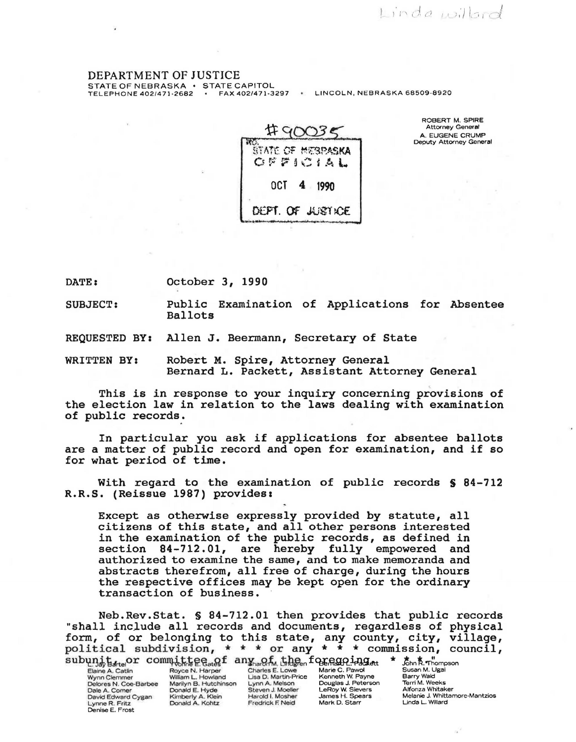DEPARTMENT OF JUSTICE<br>STATE OF NEBRASKA · STATE CAPITOL

TELEPHONE 402/471-2682 · FAX 402/471-3297 · LINCOLN, NEBRASKA 68509-8920



ROBERT M. SPIRE<br>Attorney General<br>A. EUGENE CRUMP Deputy Attorney General

 $ind$   $vol$   $od$ 

DATE: October 3, 1990

SUBJECT: Public Examination of Applications for Absentee Ballots

REQUESTED BY: Allen J. Beermann, Secretary of State

WRITTEN BY: Robert M. Spire, Attorney General Bernard L. Packett, Assistant Attorney General

This is in response to your inquiry concerning provisions of the election law in relation to the laws dealing with examination of public records.

In particular you ask if applications for absentee ballots are a matter of public record and open for examination, and if so for what period of time.

With regard to the examination of public records \$ 84-712 R.R.S. (Reissue 1987) provides:

Except as otherwise expressly provided by statute, all citizens of this state, and all other persons interested in the examination of the public records, as defined in section 84-712.01, are hereby fully empowered and authorized to examine the same, and to make memoranda and abstracts therefrom, all free of charge, during the hours the respective offices may be kept open for the ordinary transaction of business.

Neb.Rev.Stat. § 84-712.01 then provides that public records "shall include all records and documents, regardless of physical form, of or belonging to this state, any county, city, village, political subdivision,  $* * * or any * * * commission$ , council,

 $\begin{tabular}{l|c|c|c|c|c|c|c} \hline \textbf{Subung,} & \textbf{t}_{\text{start}} & \textbf{t}_{\text{start}} & \textbf{t}_{\text{start}} & \textbf{t}_{\text{start}} & \textbf{t}_{\text{start}} & \textbf{t}_{\text{start}} & \textbf{t}_{\text{start}} & \textbf{t}_{\text{start}} & \textbf{t}_{\text{start}} & \textbf{t}_{\text{start}} & \textbf{t}_{\text{start}} & \textbf{t}_{\text{start}} & \textbf{t}_{\text{start}} & \textbf{t}_{\text{start}} & \textbf{t}_{\text{start}} & \textbf{t}_{$